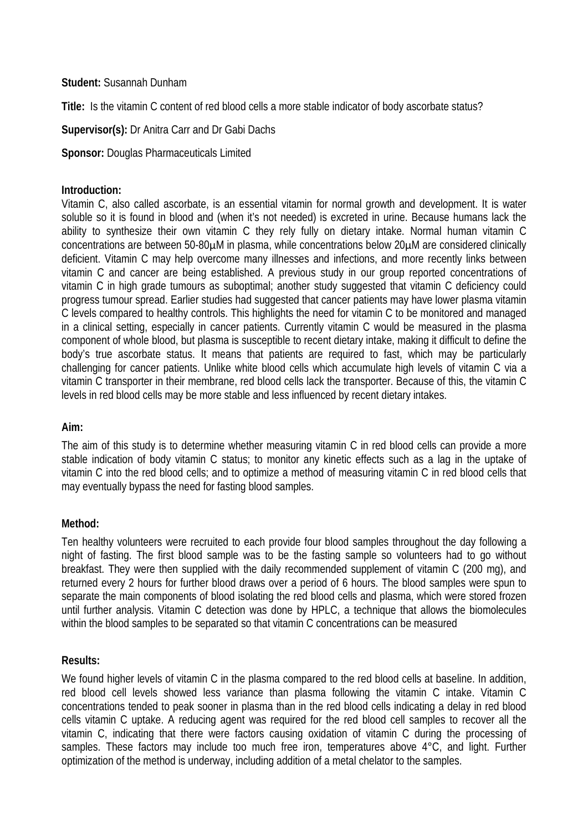#### **Student:** Susannah Dunham

**Title:** Is the vitamin C content of red blood cells a more stable indicator of body ascorbate status?

# **Supervisor(s):** Dr Anitra Carr and Dr Gabi Dachs

# **Sponsor:** Douglas Pharmaceuticals Limited

#### **Introduction:**

Vitamin C, also called ascorbate, is an essential vitamin for normal growth and development. It is water soluble so it is found in blood and (when it's not needed) is excreted in urine. Because humans lack the ability to synthesize their own vitamin C they rely fully on dietary intake. Normal human vitamin C concentrations are between 50-80µM in plasma, while concentrations below 20µM are considered clinically deficient. Vitamin C may help overcome many illnesses and infections, and more recently links between vitamin C and cancer are being established. A previous study in our group reported concentrations of vitamin C in high grade tumours as suboptimal; another study suggested that vitamin C deficiency could progress tumour spread. Earlier studies had suggested that cancer patients may have lower plasma vitamin C levels compared to healthy controls. This highlights the need for vitamin C to be monitored and managed in a clinical setting, especially in cancer patients. Currently vitamin C would be measured in the plasma component of whole blood, but plasma is susceptible to recent dietary intake, making it difficult to define the body's true ascorbate status. It means that patients are required to fast, which may be particularly challenging for cancer patients. Unlike white blood cells which accumulate high levels of vitamin C via a vitamin C transporter in their membrane, red blood cells lack the transporter. Because of this, the vitamin C levels in red blood cells may be more stable and less influenced by recent dietary intakes.

## **Aim:**

The aim of this study is to determine whether measuring vitamin C in red blood cells can provide a more stable indication of body vitamin C status; to monitor any kinetic effects such as a lag in the uptake of vitamin C into the red blood cells; and to optimize a method of measuring vitamin C in red blood cells that may eventually bypass the need for fasting blood samples.

## **Method:**

Ten healthy volunteers were recruited to each provide four blood samples throughout the day following a night of fasting. The first blood sample was to be the fasting sample so volunteers had to go without breakfast. They were then supplied with the daily recommended supplement of vitamin C (200 mg), and returned every 2 hours for further blood draws over a period of 6 hours. The blood samples were spun to separate the main components of blood isolating the red blood cells and plasma, which were stored frozen until further analysis. Vitamin C detection was done by HPLC, a technique that allows the biomolecules within the blood samples to be separated so that vitamin C concentrations can be measured

## **Results:**

We found higher levels of vitamin C in the plasma compared to the red blood cells at baseline. In addition, red blood cell levels showed less variance than plasma following the vitamin C intake. Vitamin C concentrations tended to peak sooner in plasma than in the red blood cells indicating a delay in red blood cells vitamin C uptake. A reducing agent was required for the red blood cell samples to recover all the vitamin C, indicating that there were factors causing oxidation of vitamin C during the processing of samples. These factors may include too much free iron, temperatures above 4°C, and light. Further optimization of the method is underway, including addition of a metal chelator to the samples.